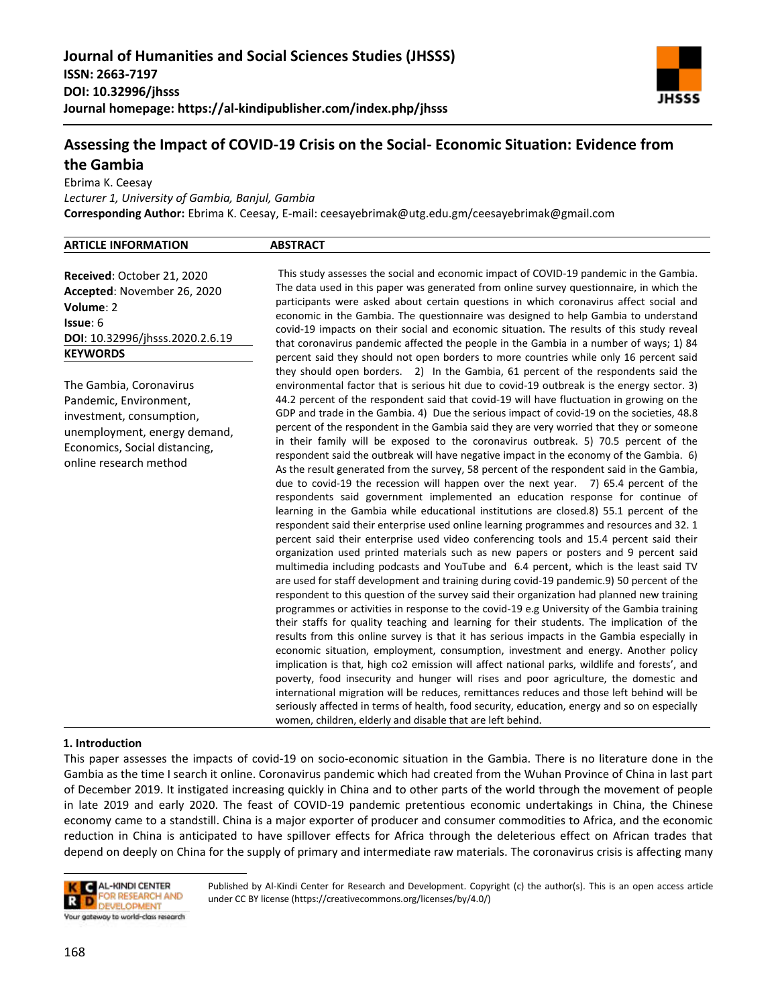

# **Assessing the Impact of COVID-19 Crisis on the Social- Economic Situation: Evidence from the Gambia**

Ebrima K. Ceesay

*Lecturer 1, University of Gambia, Banjul, Gambia* **Corresponding Author:** Ebrima K. Ceesay, E-mail: ceesayebrimak@utg.edu.gm/ceesayebrimak@gmail.com

| <b>ARTICLE INFORMATION</b> | <b>ABSTRACT</b> |
|----------------------------|-----------------|
|                            |                 |

**Received**: October 21, 2020 **Accepted**: November 26, 2020 **Volume**: 2 **Issue**: 6 **DOI**: 10.32996/jhsss.2020.2.6.19 **KEYWORDS**

The Gambia, Coronavirus Pandemic, Environment, investment, consumption, unemployment, energy demand, Economics, Social distancing, online research method

This study assesses the social and economic impact of COVID-19 pandemic in the Gambia. The data used in this paper was generated from online survey questionnaire, in which the participants were asked about certain questions in which coronavirus affect social and economic in the Gambia. The questionnaire was designed to help Gambia to understand covid-19 impacts on their social and economic situation. The results of this study reveal that coronavirus pandemic affected the people in the Gambia in a number of ways; 1) 84 percent said they should not open borders to more countries while only 16 percent said they should open borders. 2) In the Gambia, 61 percent of the respondents said the environmental factor that is serious hit due to covid-19 outbreak is the energy sector. 3) 44.2 percent of the respondent said that covid-19 will have fluctuation in growing on the GDP and trade in the Gambia. 4) Due the serious impact of covid-19 on the societies, 48.8 percent of the respondent in the Gambia said they are very worried that they or someone in their family will be exposed to the coronavirus outbreak. 5) 70.5 percent of the respondent said the outbreak will have negative impact in the economy of the Gambia. 6) As the result generated from the survey, 58 percent of the respondent said in the Gambia, due to covid-19 the recession will happen over the next year. 7) 65.4 percent of the respondents said government implemented an education response for continue of learning in the Gambia while educational institutions are closed.8) 55.1 percent of the respondent said their enterprise used online learning programmes and resources and 32. 1 percent said their enterprise used video conferencing tools and 15.4 percent said their organization used printed materials such as new papers or posters and 9 percent said multimedia including podcasts and YouTube and 6.4 percent, which is the least said TV are used for staff development and training during covid-19 pandemic.9) 50 percent of the respondent to this question of the survey said their organization had planned new training programmes or activities in response to the covid-19 e.g University of the Gambia training their staffs for quality teaching and learning for their students. The implication of the results from this online survey is that it has serious impacts in the Gambia especially in economic situation, employment, consumption, investment and energy. Another policy implication is that, high co2 emission will affect national parks, wildlife and forests', and poverty, food insecurity and hunger will rises and poor agriculture, the domestic and international migration will be reduces, remittances reduces and those left behind will be seriously affected in terms of health, food security, education, energy and so on especially women, children, elderly and disable that are left behind.

# **1. Introduction <sup>1</sup>**

This paper assesses the impacts of covid-19 on socio-economic situation in the Gambia. There is no literature done in the Gambia as the time I search it online. Coronavirus pandemic which had created from the Wuhan Province of China in last part of December 2019. It instigated increasing quickly in China and to other parts of the world through the movement of people in late 2019 and early 2020. The feast of COVID-19 pandemic pretentious economic undertakings in China, the Chinese economy came to a standstill. China is a major exporter of producer and consumer commodities to Africa, and the economic reduction in China is anticipated to have spillover effects for Africa through the deleterious effect on African trades that depend on deeply on China for the supply of primary and intermediate raw materials. The coronavirus crisis is affecting many

**AL-KINDI CENTER** I.C. OR RESEARCH AND **N** DEVELOPMENT Your gateway to world-class research

Published by Al-Kindi Center for Research and Development. Copyright (c) the author(s). This is an open access article under CC BY license (https://creativecommons.org/licenses/by/4.0/)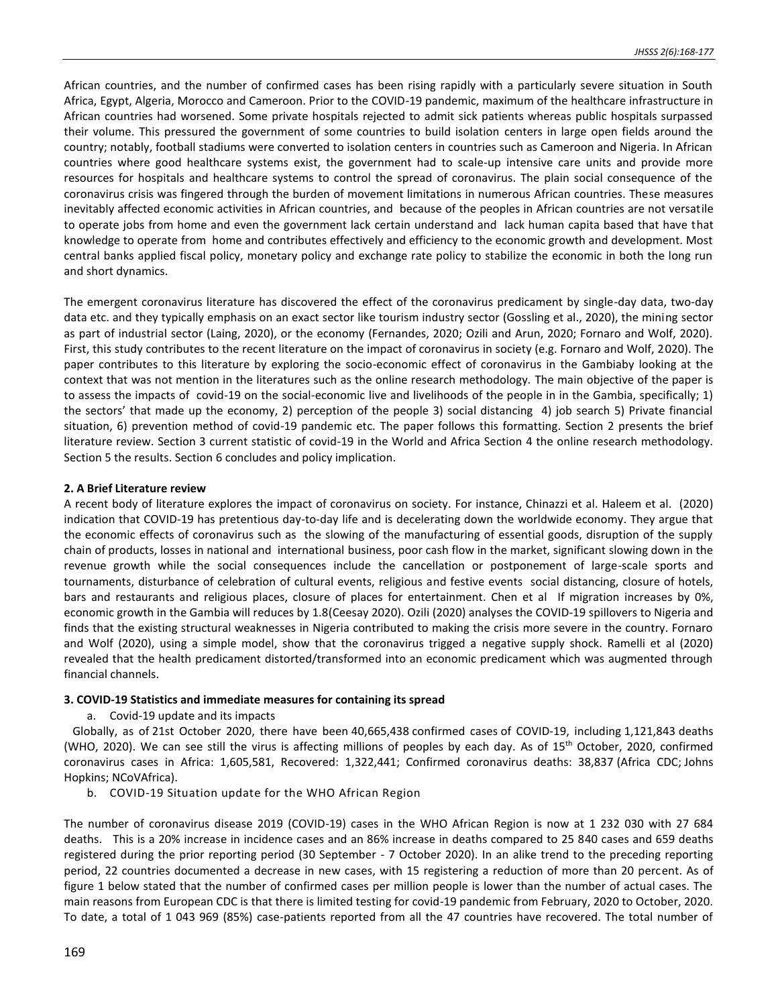African countries, and the number of confirmed cases has been rising rapidly with a particularly severe situation in South Africa, Egypt, Algeria, Morocco and Cameroon. Prior to the COVID-19 pandemic, maximum of the healthcare infrastructure in African countries had worsened. Some private hospitals rejected to admit sick patients whereas public hospitals surpassed their volume. This pressured the government of some countries to build isolation centers in large open fields around the country; notably, football stadiums were converted to isolation centers in countries such as Cameroon and Nigeria. In African countries where good healthcare systems exist, the government had to scale-up intensive care units and provide more resources for hospitals and healthcare systems to control the spread of coronavirus. The plain social consequence of the coronavirus crisis was fingered through the burden of movement limitations in numerous African countries. These measures inevitably affected economic activities in African countries, and because of the peoples in African countries are not versatile to operate jobs from home and even the government lack certain understand and lack human capita based that have that knowledge to operate from home and contributes effectively and efficiency to the economic growth and development. Most central banks applied fiscal policy, monetary policy and exchange rate policy to stabilize the economic in both the long run and short dynamics.

The emergent coronavirus literature has discovered the effect of the coronavirus predicament by single-day data, two-day data etc. and they typically emphasis on an exact sector like tourism industry sector (Gossling et al., 2020), the mining sector as part of industrial sector (Laing, 2020), or the economy (Fernandes, 2020; Ozili and Arun, 2020; Fornaro and Wolf, 2020). First, this study contributes to the recent literature on the impact of coronavirus in society (e.g. Fornaro and Wolf, 2020). The paper contributes to this literature by exploring the socio-economic effect of coronavirus in the Gambiaby looking at the context that was not mention in the literatures such as the online research methodology. The main objective of the paper is to assess the impacts of covid-19 on the social-economic live and livelihoods of the people in in the Gambia, specifically; 1) the sectors' that made up the economy, 2) perception of the people 3) social distancing 4) job search 5) Private financial situation, 6) prevention method of covid-19 pandemic etc. The paper follows this formatting. Section 2 presents the brief literature review. Section 3 current statistic of covid-19 in the World and Africa Section 4 the online research methodology. Section 5 the results. Section 6 concludes and policy implication.

#### **2. A Brief Literature review**

A recent body of literature explores the impact of coronavirus on society. For instance, Chinazzi et al. Haleem et al. (2020) indication that COVID-19 has pretentious day-to-day life and is decelerating down the worldwide economy. They argue that the economic effects of coronavirus such as the slowing of the manufacturing of essential goods, disruption of the supply chain of products, losses in national and international business, poor cash flow in the market, significant slowing down in the revenue growth while the social consequences include the cancellation or postponement of large-scale sports and tournaments, disturbance of celebration of cultural events, religious and festive events social distancing, closure of hotels, bars and restaurants and religious places, closure of places for entertainment. Chen et al If migration increases by 0%, economic growth in the Gambia will reduces by 1.8(Ceesay 2020). Ozili (2020) analyses the COVID-19 spillovers to Nigeria and finds that the existing structural weaknesses in Nigeria contributed to making the crisis more severe in the country. Fornaro and Wolf (2020), using a simple model, show that the coronavirus trigged a negative supply shock. Ramelli et al (2020) revealed that the health predicament distorted/transformed into an economic predicament which was augmented through financial channels.

#### **3. COVID-19 Statistics and immediate measures for containing its spread**

a. Covid-19 update and its impacts

Globally, as of 21st October 2020, there have been 40,665,438 confirmed cases of COVID-19, including 1,121,843 deaths (WHO, 2020). We can see still the virus is affecting millions of peoples by each day. As of 15th October, 2020, confirmed coronavirus cases in Africa: 1,605,581, Recovered: 1,322,441; Confirmed coronavirus deaths: 38,837 (Africa CDC; Johns Hopkins; NCoVAfrica).

b. COVID-19 Situation update for the WHO African Region

The number of coronavirus disease 2019 (COVID-19) cases in the WHO African Region is now at 1 232 030 with 27 684 deaths. This is a 20% increase in incidence cases and an 86% increase in deaths compared to 25 840 cases and 659 deaths registered during the prior reporting period (30 September - 7 October 2020). In an alike trend to the preceding reporting period, 22 countries documented a decrease in new cases, with 15 registering a reduction of more than 20 percent. As of figure 1 below stated that the number of confirmed cases per million people is lower than the number of actual cases. The main reasons from European CDC is that there is limited testing for covid-19 pandemic from February, 2020 to October, 2020. To date, a total of 1 043 969 (85%) case-patients reported from all the 47 countries have recovered. The total number of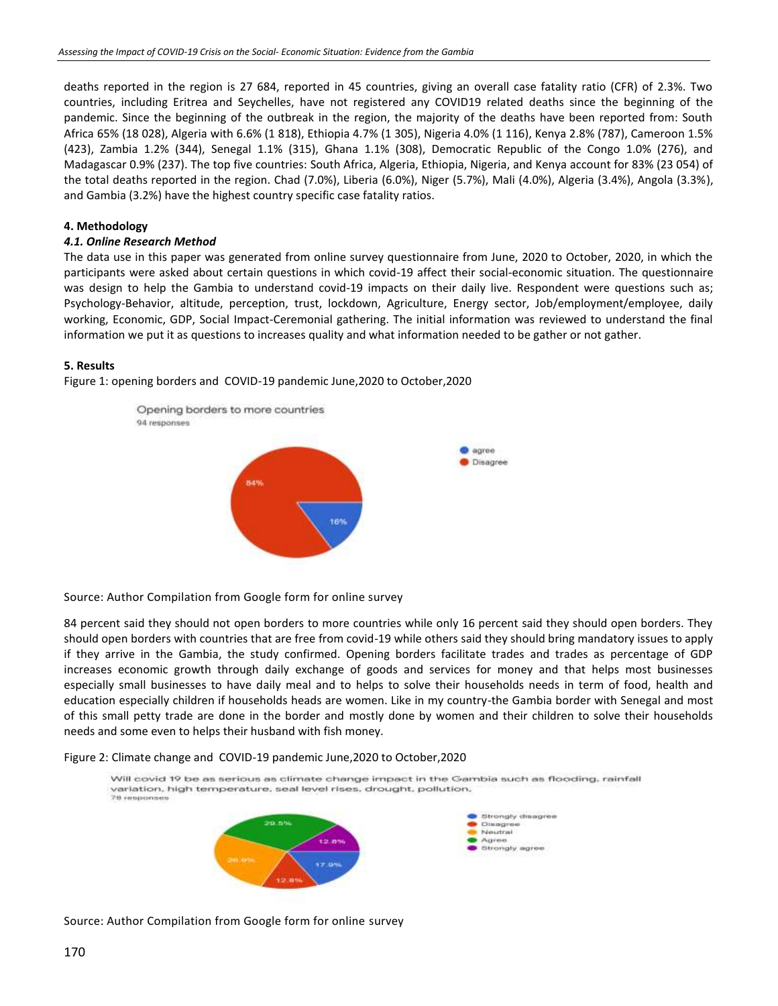deaths reported in the region is 27 684, reported in 45 countries, giving an overall case fatality ratio (CFR) of 2.3%. Two countries, including Eritrea and Seychelles, have not registered any COVID19 related deaths since the beginning of the pandemic. Since the beginning of the outbreak in the region, the majority of the deaths have been reported from: South Africa 65% (18 028), Algeria with 6.6% (1 818), Ethiopia 4.7% (1 305), Nigeria 4.0% (1 116), Kenya 2.8% (787), Cameroon 1.5% (423), Zambia 1.2% (344), Senegal 1.1% (315), Ghana 1.1% (308), Democratic Republic of the Congo 1.0% (276), and Madagascar 0.9% (237). The top five countries: South Africa, Algeria, Ethiopia, Nigeria, and Kenya account for 83% (23 054) of the total deaths reported in the region. Chad (7.0%), Liberia (6.0%), Niger (5.7%), Mali (4.0%), Algeria (3.4%), Angola (3.3%), and Gambia (3.2%) have the highest country specific case fatality ratios.

#### **4. Methodology**

### *4.1. Online Research Method*

The data use in this paper was generated from online survey questionnaire from June, 2020 to October, 2020, in which the participants were asked about certain questions in which covid-19 affect their social-economic situation. The questionnaire was design to help the Gambia to understand covid-19 impacts on their daily live. Respondent were questions such as; Psychology-Behavior, altitude, perception, trust, lockdown, Agriculture, Energy sector, Job/employment/employee, daily working, Economic, GDP, Social Impact-Ceremonial gathering. The initial information was reviewed to understand the final information we put it as questions to increases quality and what information needed to be gather or not gather.

#### **5. Results**

Figure 1: opening borders and COVID-19 pandemic June,2020 to October,2020



Source: Author Compilation from Google form for online survey

84 percent said they should not open borders to more countries while only 16 percent said they should open borders. They should open borders with countries that are free from covid-19 while others said they should bring mandatory issues to apply if they arrive in the Gambia, the study confirmed. Opening borders facilitate trades and trades as percentage of GDP increases economic growth through daily exchange of goods and services for money and that helps most businesses especially small businesses to have daily meal and to helps to solve their households needs in term of food, health and education especially children if households heads are women. Like in my country-the Gambia border with Senegal and most of this small petty trade are done in the border and mostly done by women and their children to solve their households needs and some even to helps their husband with fish money.

#### Figure 2: Climate change and COVID-19 pandemic June,2020 to October,2020



Source: Author Compilation from Google form for online survey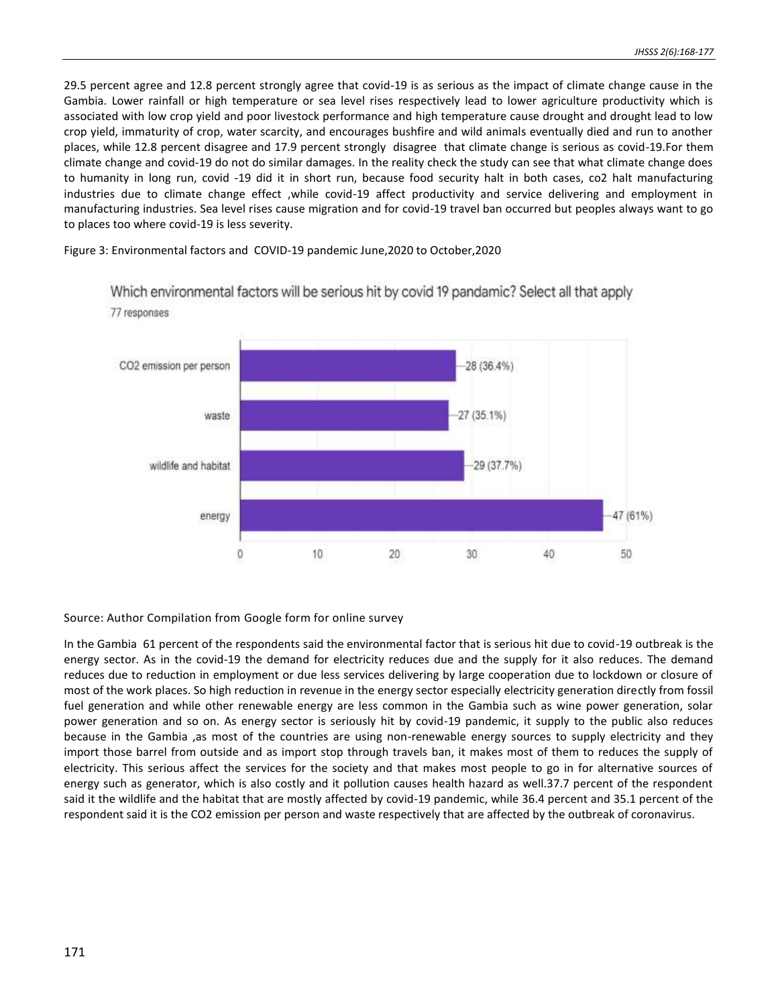29.5 percent agree and 12.8 percent strongly agree that covid-19 is as serious as the impact of climate change cause in the Gambia. Lower rainfall or high temperature or sea level rises respectively lead to lower agriculture productivity which is associated with low crop yield and poor livestock performance and high temperature cause drought and drought lead to low crop yield, immaturity of crop, water scarcity, and encourages bushfire and wild animals eventually died and run to another places, while 12.8 percent disagree and 17.9 percent strongly disagree that climate change is serious as covid-19.For them climate change and covid-19 do not do similar damages. In the reality check the study can see that what climate change does to humanity in long run, covid -19 did it in short run, because food security halt in both cases, co2 halt manufacturing industries due to climate change effect ,while covid-19 affect productivity and service delivering and employment in manufacturing industries. Sea level rises cause migration and for covid-19 travel ban occurred but peoples always want to go to places too where covid-19 is less severity.

Figure 3: Environmental factors and COVID-19 pandemic June,2020 to October,2020



Which environmental factors will be serious hit by covid 19 pandamic? Select all that apply 77 responses

# Source: Author Compilation from Google form for online survey

In the Gambia 61 percent of the respondents said the environmental factor that is serious hit due to covid-19 outbreak is the energy sector. As in the covid-19 the demand for electricity reduces due and the supply for it also reduces. The demand reduces due to reduction in employment or due less services delivering by large cooperation due to lockdown or closure of most of the work places. So high reduction in revenue in the energy sector especially electricity generation directly from fossil fuel generation and while other renewable energy are less common in the Gambia such as wine power generation, solar power generation and so on. As energy sector is seriously hit by covid-19 pandemic, it supply to the public also reduces because in the Gambia ,as most of the countries are using non-renewable energy sources to supply electricity and they import those barrel from outside and as import stop through travels ban, it makes most of them to reduces the supply of electricity. This serious affect the services for the society and that makes most people to go in for alternative sources of energy such as generator, which is also costly and it pollution causes health hazard as well.37.7 percent of the respondent said it the wildlife and the habitat that are mostly affected by covid-19 pandemic, while 36.4 percent and 35.1 percent of the respondent said it is the CO2 emission per person and waste respectively that are affected by the outbreak of coronavirus.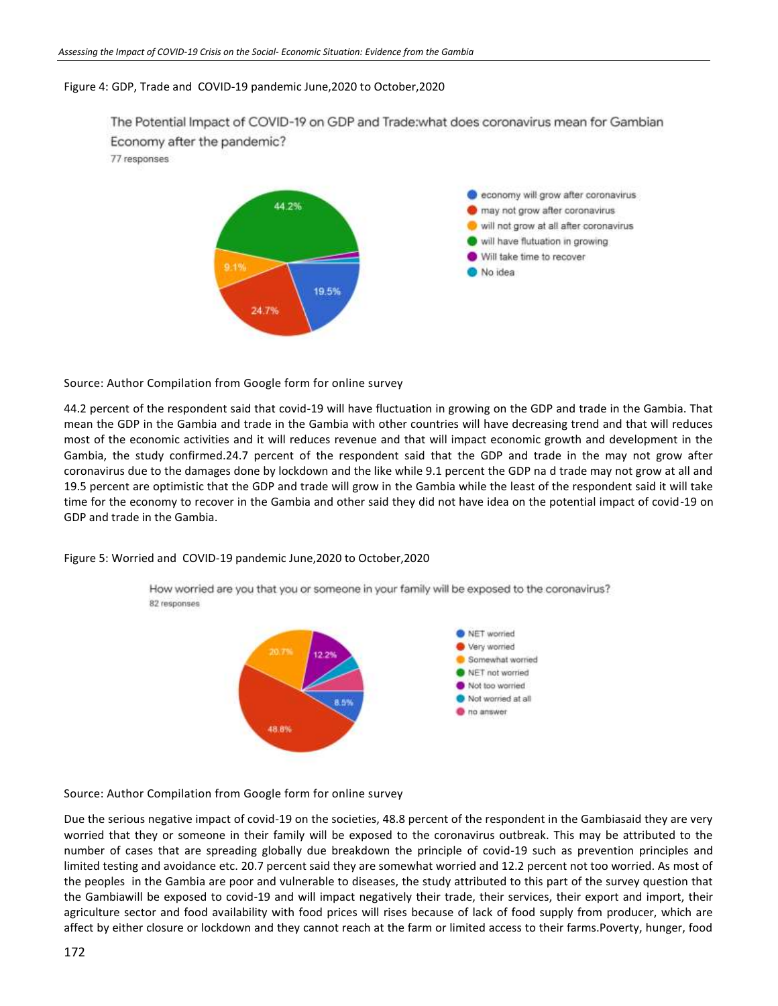# Figure 4: GDP, Trade and COVID-19 pandemic June,2020 to October,2020

The Potential Impact of COVID-19 on GDP and Trade: what does coronavirus mean for Gambian Economy after the pandemic? 77 responses economy will grow after coronavirus 44.2% may not grow after coronavirus will not grow at all after coronavirus



Source: Author Compilation from Google form for online survey

44.2 percent of the respondent said that covid-19 will have fluctuation in growing on the GDP and trade in the Gambia. That mean the GDP in the Gambia and trade in the Gambia with other countries will have decreasing trend and that will reduces most of the economic activities and it will reduces revenue and that will impact economic growth and development in the Gambia, the study confirmed.24.7 percent of the respondent said that the GDP and trade in the may not grow after coronavirus due to the damages done by lockdown and the like while 9.1 percent the GDP na d trade may not grow at all and 19.5 percent are optimistic that the GDP and trade will grow in the Gambia while the least of the respondent said it will take time for the economy to recover in the Gambia and other said they did not have idea on the potential impact of covid-19 on GDP and trade in the Gambia.

Figure 5: Worried and COVID-19 pandemic June,2020 to October,2020

How worried are you that you or someone in your family will be exposed to the coronavirus? 82 responses



# Source: Author Compilation from Google form for online survey

Due the serious negative impact of covid-19 on the societies, 48.8 percent of the respondent in the Gambiasaid they are very worried that they or someone in their family will be exposed to the coronavirus outbreak. This may be attributed to the number of cases that are spreading globally due breakdown the principle of covid-19 such as prevention principles and limited testing and avoidance etc. 20.7 percent said they are somewhat worried and 12.2 percent not too worried. As most of the peoples in the Gambia are poor and vulnerable to diseases, the study attributed to this part of the survey question that the Gambiawill be exposed to covid-19 and will impact negatively their trade, their services, their export and import, their agriculture sector and food availability with food prices will rises because of lack of food supply from producer, which are affect by either closure or lockdown and they cannot reach at the farm or limited access to their farms.Poverty, hunger, food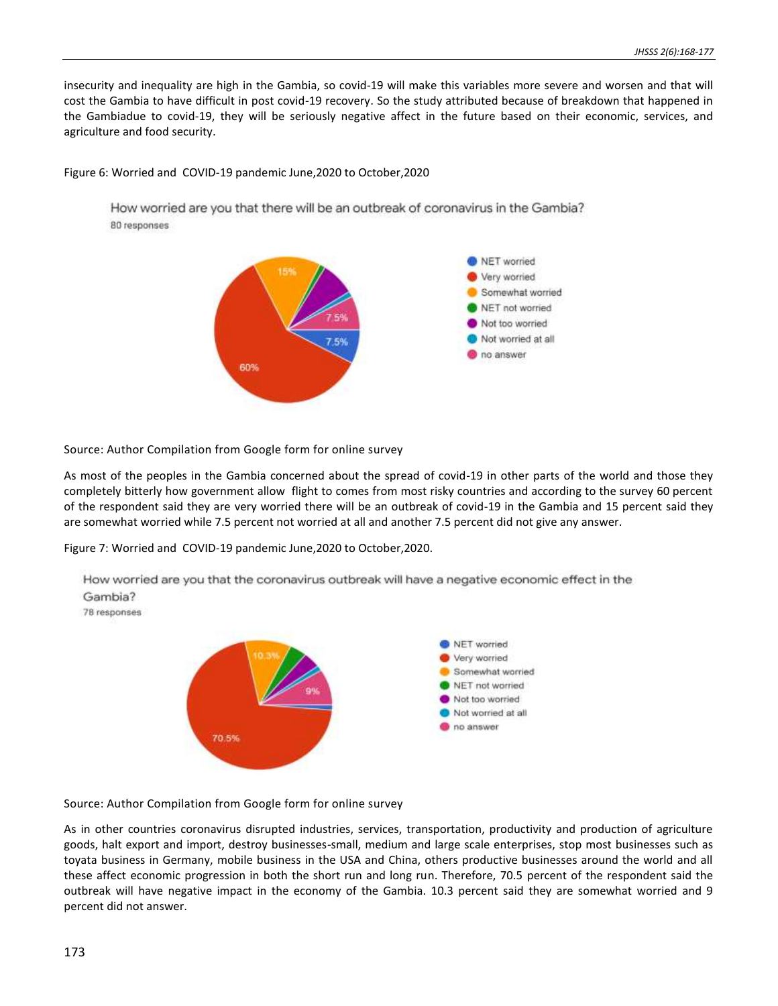insecurity and inequality are high in the Gambia, so covid-19 will make this variables more severe and worsen and that will cost the Gambia to have difficult in post covid-19 recovery. So the study attributed because of breakdown that happened in the Gambiadue to covid-19, they will be seriously negative affect in the future based on their economic, services, and agriculture and food security.

### Figure 6: Worried and COVID-19 pandemic June,2020 to October,2020

How worried are you that there will be an outbreak of coronavirus in the Gambia? 80 responses



Source: Author Compilation from Google form for online survey

As most of the peoples in the Gambia concerned about the spread of covid-19 in other parts of the world and those they completely bitterly how government allow flight to comes from most risky countries and according to the survey 60 percent of the respondent said they are very worried there will be an outbreak of covid-19 in the Gambia and 15 percent said they are somewhat worried while 7.5 percent not worried at all and another 7.5 percent did not give any answer.

Figure 7: Worried and COVID-19 pandemic June,2020 to October,2020.



How worried are you that the coronavirus outbreak will have a negative economic effect in the Gambia? 78 responses

Source: Author Compilation from Google form for online survey

As in other countries coronavirus disrupted industries, services, transportation, productivity and production of agriculture goods, halt export and import, destroy businesses-small, medium and large scale enterprises, stop most businesses such as toyata business in Germany, mobile business in the USA and China, others productive businesses around the world and all these affect economic progression in both the short run and long run. Therefore, 70.5 percent of the respondent said the outbreak will have negative impact in the economy of the Gambia. 10.3 percent said they are somewhat worried and 9 percent did not answer.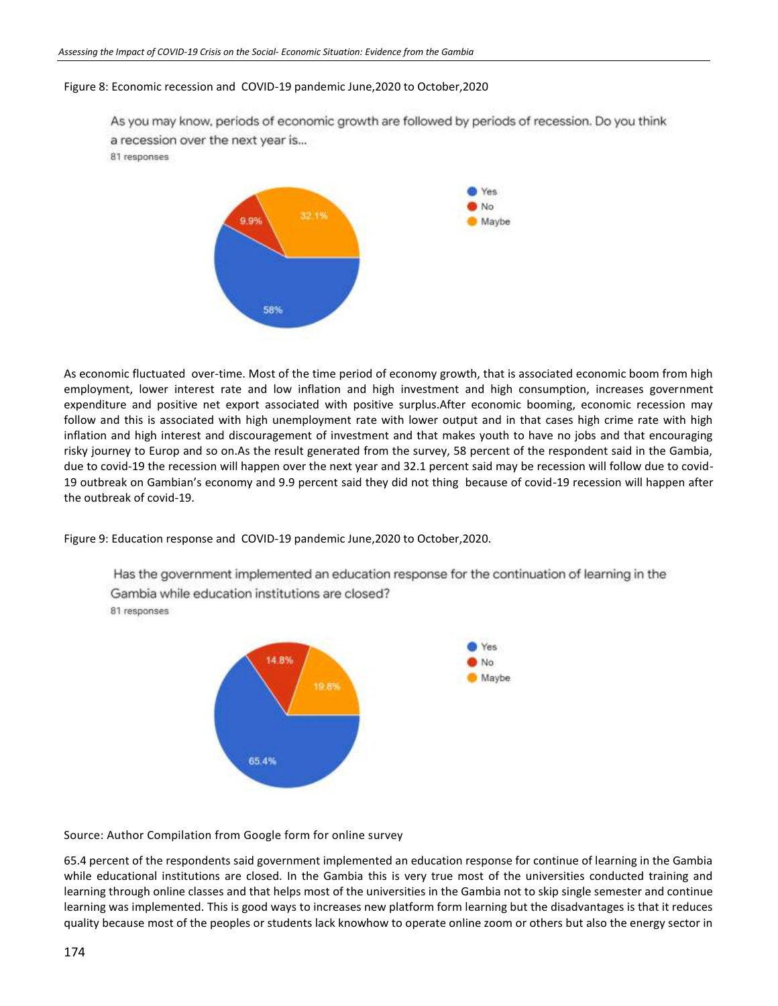### Figure 8: Economic recession and COVID-19 pandemic June,2020 to October,2020

As you may know, periods of economic growth are followed by periods of recession. Do you think a recession over the next year is... 81 responses



As economic fluctuated over-time. Most of the time period of economy growth, that is associated economic boom from high employment, lower interest rate and low inflation and high investment and high consumption, increases government expenditure and positive net export associated with positive surplus.After economic booming, economic recession may follow and this is associated with high unemployment rate with lower output and in that cases high crime rate with high inflation and high interest and discouragement of investment and that makes youth to have no jobs and that encouraging risky journey to Europ and so on.As the result generated from the survey, 58 percent of the respondent said in the Gambia, due to covid-19 the recession will happen over the next year and 32.1 percent said may be recession will follow due to covid-19 outbreak on Gambian's economy and 9.9 percent said they did not thing because of covid-19 recession will happen after the outbreak of covid-19.

Figure 9: Education response and COVID-19 pandemic June,2020 to October,2020.

Has the government implemented an education response for the continuation of learning in the Gambia while education institutions are closed? 81 responses



Source: Author Compilation from Google form for online survey

65.4 percent of the respondents said government implemented an education response for continue of learning in the Gambia while educational institutions are closed. In the Gambia this is very true most of the universities conducted training and learning through online classes and that helps most of the universities in the Gambia not to skip single semester and continue learning was implemented. This is good ways to increases new platform form learning but the disadvantages is that it reduces quality because most of the peoples or students lack knowhow to operate online zoom or others but also the energy sector in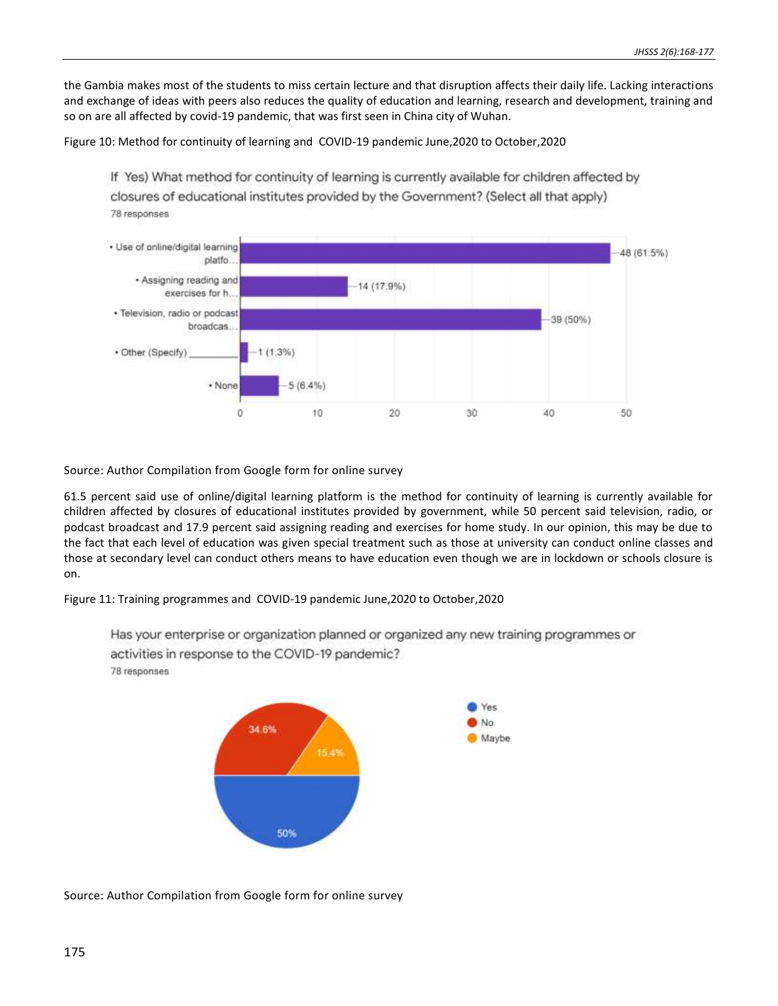the Gambia makes most of the students to miss certain lecture and that disruption affects their daily life. Lacking interactions and exchange of ideas with peers also reduces the quality of education and learning, research and development, training and so on are all affected by covid-19 pandemic, that was first seen in China city of Wuhan.

Figure 10: Method for continuity of learning and COVID-19 pandemic June,2020 to October,2020

If Yes) What method for continuity of learning is currently available for children affected by closures of educational institutes provided by the Government? (Select all that apply) 78 responses



Source: Author Compilation from Google form for online survey

61.5 percent said use of online/digital learning platform is the method for continuity of learning is currently available for children affected by closures of educational institutes provided by government, while 50 percent said television, radio, or podcast broadcast and 17.9 percent said assigning reading and exercises for home study. In our opinion, this may be due to the fact that each level of education was given special treatment such as those at university can conduct online classes and those at secondary level can conduct others means to have education even though we are in lockdown or schools closure is on.

Figure 11: Training programmes and COVID-19 pandemic June,2020 to October,2020

50%

activities in response to the COVID-19 pandemic? Yes No. 34.6% Maybe 15.4%

78 responses

Has your enterprise or organization planned or organized any new training programmes or

Source: Author Compilation from Google form for online survey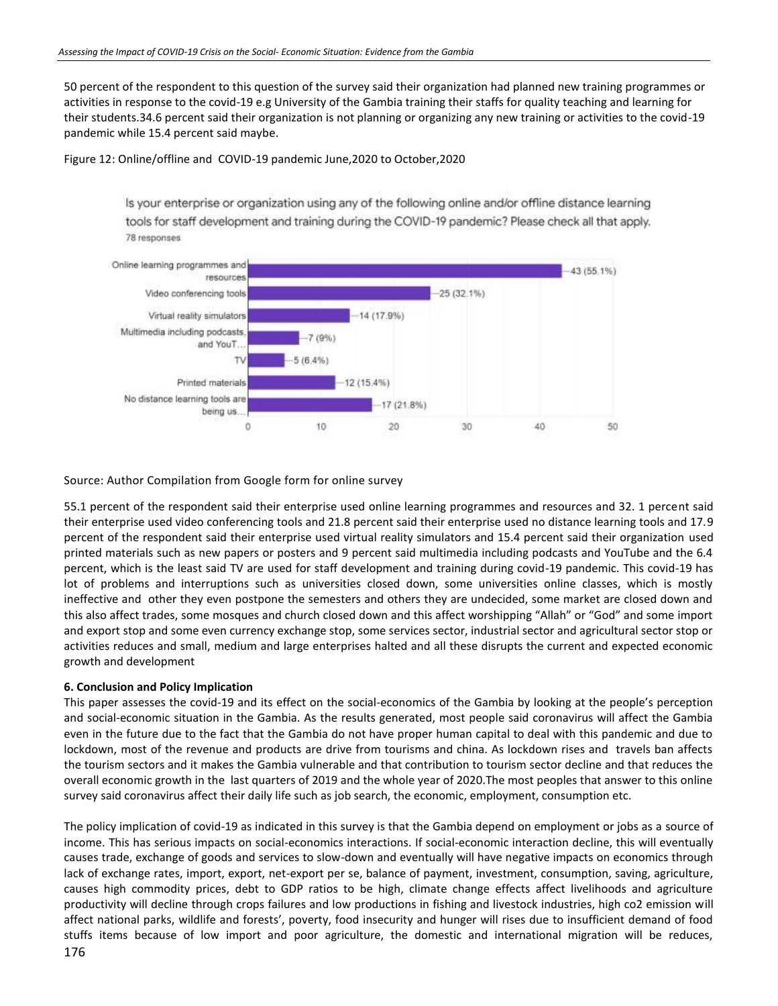50 percent of the respondent to this question of the survey said their organization had planned new training programmes or activities in response to the covid-19 e.g University of the Gambia training their staffs for quality teaching and learning for their students.34.6 percent said their organization is not planning or organizing any new training or activities to the covid-19 pandemic while 15.4 percent said maybe.

Figure 12: Online/offline and COVID-19 pandemic June,2020 to October,2020

Is your enterprise or organization using any of the following online and/or offline distance learning tools for staff development and training during the COVID-19 pandemic? Please check all that apply. 78 responses



Source: Author Compilation from Google form for online survey

55.1 percent of the respondent said their enterprise used online learning programmes and resources and 32. 1 percent said their enterprise used video conferencing tools and 21.8 percent said their enterprise used no distance learning tools and 17.9 percent of the respondent said their enterprise used virtual reality simulators and 15.4 percent said their organization used printed materials such as new papers or posters and 9 percent said multimedia including podcasts and YouTube and the 6.4 percent, which is the least said TV are used for staff development and training during covid-19 pandemic. This covid-19 has lot of problems and interruptions such as universities closed down, some universities online classes, which is mostly ineffective and other they even postpone the semesters and others they are undecided, some market are closed down and this also affect trades, some mosques and church closed down and this affect worshipping "Allah" or "God" and some import and export stop and some even currency exchange stop, some services sector, industrial sector and agricultural sector stop or activities reduces and small, medium and large enterprises halted and all these disrupts the current and expected economic growth and development

# **6. Conclusion and Policy Implication**

This paper assesses the covid-19 and its effect on the social-economics of the Gambia by looking at the people's perception and social-economic situation in the Gambia. As the results generated, most people said coronavirus will affect the Gambia even in the future due to the fact that the Gambia do not have proper human capital to deal with this pandemic and due to lockdown, most of the revenue and products are drive from tourisms and china. As lockdown rises and travels ban affects the tourism sectors and it makes the Gambia vulnerable and that contribution to tourism sector decline and that reduces the overall economic growth in the last quarters of 2019 and the whole year of 2020.The most peoples that answer to this online survey said coronavirus affect their daily life such as job search, the economic, employment, consumption etc.

The policy implication of covid-19 as indicated in this survey is that the Gambia depend on employment or jobs as a source of income. This has serious impacts on social-economics interactions. If social-economic interaction decline, this will eventually causes trade, exchange of goods and services to slow-down and eventually will have negative impacts on economics through lack of exchange rates, import, export, net-export per se, balance of payment, investment, consumption, saving, agriculture, causes high commodity prices, debt to GDP ratios to be high, climate change effects affect livelihoods and agriculture productivity will decline through crops failures and low productions in fishing and livestock industries, high co2 emission will affect national parks, wildlife and forests', poverty, food insecurity and hunger will rises due to insufficient demand of food stuffs items because of low import and poor agriculture, the domestic and international migration will be reduces,